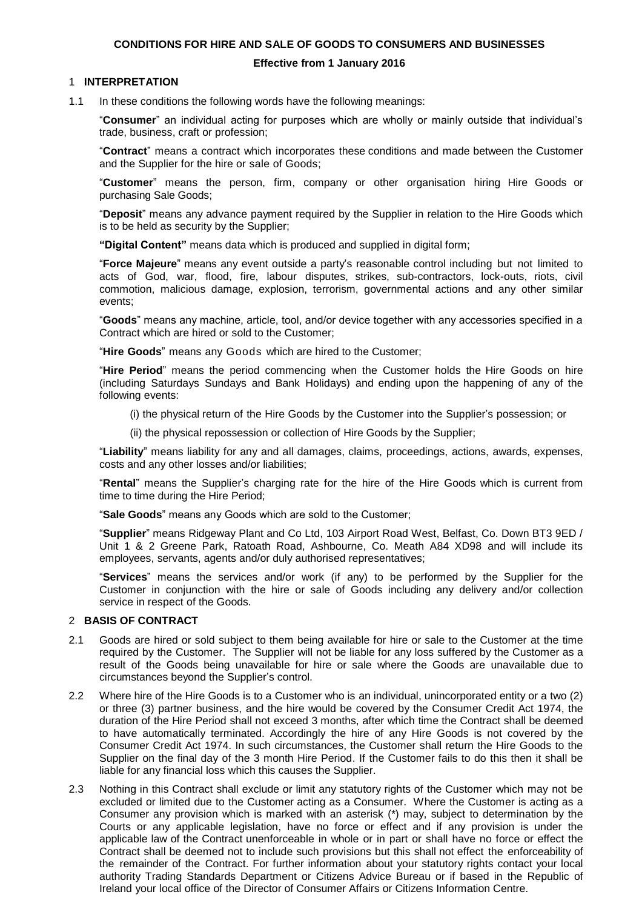## **CONDITIONS FOR HIRE AND SALE OF GOODS TO CONSUMERS AND BUSINESSES**

#### **Effective from 1 January 2016**

#### 1 **INTERPRETATION**

1.1 In these conditions the following words have the following meanings:

"**Consumer**" an individual acting for purposes which are wholly or mainly outside that individual's trade, business, craft or profession;

"**Contract**" means a contract which incorporates these conditions and made between the Customer and the Supplier for the hire or sale of Goods;

"**Customer**" means the person, firm, company or other organisation hiring Hire Goods or purchasing Sale Goods;

"**Deposit**" means any advance payment required by the Supplier in relation to the Hire Goods which is to be held as security by the Supplier;

**"Digital Content"** means data which is produced and supplied in digital form;

"**Force Majeure**" means any event outside a party's reasonable control including but not limited to acts of God, war, flood, fire, labour disputes, strikes, sub-contractors, lock-outs, riots, civil commotion, malicious damage, explosion, terrorism, governmental actions and any other similar events;

"**Goods**" means any machine, article, tool, and/or device together with any accessories specified in a Contract which are hired or sold to the Customer;

"**Hire Goods**" means any Goods which are hired to the Customer;

"**Hire Period**" means the period commencing when the Customer holds the Hire Goods on hire (including Saturdays Sundays and Bank Holidays) and ending upon the happening of any of the following events:

(i) the physical return of the Hire Goods by the Customer into the Supplier's possession; or

(ii) the physical repossession or collection of Hire Goods by the Supplier;

"**Liability**" means liability for any and all damages, claims, proceedings, actions, awards, expenses, costs and any other losses and/or liabilities;

"**Rental**" means the Supplier's charging rate for the hire of the Hire Goods which is current from time to time during the Hire Period;

"**Sale Goods**" means any Goods which are sold to the Customer;

"**Supplier**" means Ridgeway Plant and Co Ltd, 103 Airport Road West, Belfast, Co. Down BT3 9ED / Unit 1 & 2 Greene Park, Ratoath Road, Ashbourne, Co. Meath A84 XD98 and will include its employees, servants, agents and/or duly authorised representatives;

"**Services**" means the services and/or work (if any) to be performed by the Supplier for the Customer in conjunction with the hire or sale of Goods including any delivery and/or collection service in respect of the Goods.

#### 2 **BASIS OF CONTRACT**

- 2.1 Goods are hired or sold subject to them being available for hire or sale to the Customer at the time required by the Customer. The Supplier will not be liable for any loss suffered by the Customer as a result of the Goods being unavailable for hire or sale where the Goods are unavailable due to circumstances beyond the Supplier's control.
- 2.2 Where hire of the Hire Goods is to a Customer who is an individual, unincorporated entity or a two (2) or three (3) partner business, and the hire would be covered by the Consumer Credit Act 1974, the duration of the Hire Period shall not exceed 3 months, after which time the Contract shall be deemed to have automatically terminated. Accordingly the hire of any Hire Goods is not covered by the Consumer Credit Act 1974. In such circumstances, the Customer shall return the Hire Goods to the Supplier on the final day of the 3 month Hire Period. If the Customer fails to do this then it shall be liable for any financial loss which this causes the Supplier.
- 2.3 Nothing in this Contract shall exclude or limit any statutory rights of the Customer which may not be excluded or limited due to the Customer acting as a Consumer. Where the Customer is acting as a Consumer any provision which is marked with an asterisk (\*) may, subject to determination by the Courts or any applicable legislation, have no force or effect and if any provision is under the applicable law of the Contract unenforceable in whole or in part or shall have no force or effect the Contract shall be deemed not to include such provisions but this shall not effect the enforceability of the remainder of the Contract. For further information about your statutory rights contact your local authority Trading Standards Department or Citizens Advice Bureau or if based in the Republic of Ireland your local office of the Director of Consumer Affairs or Citizens Information Centre.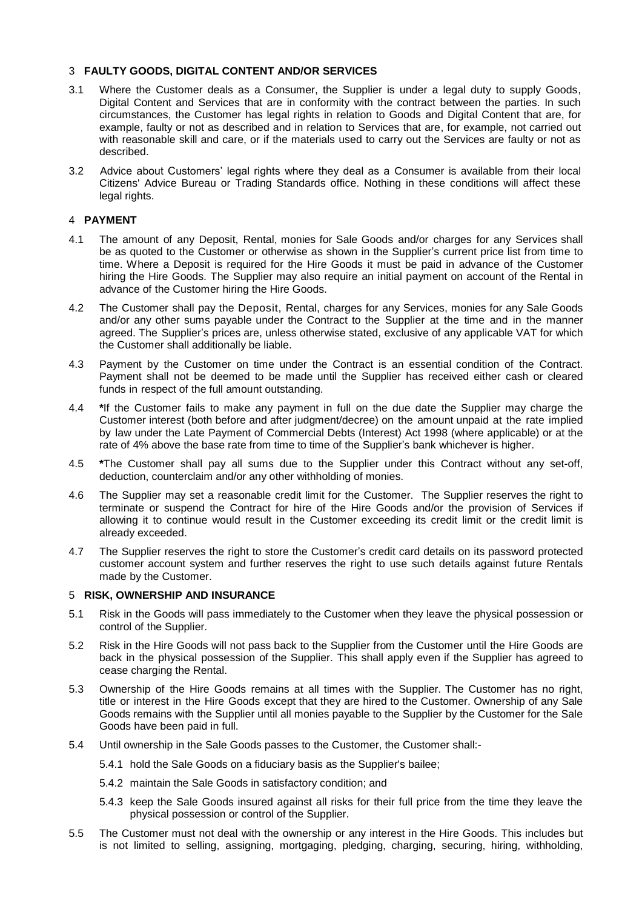## 3 **FAULTY GOODS, DIGITAL CONTENT AND/OR SERVICES**

- 3.1 Where the Customer deals as a Consumer, the Supplier is under a legal duty to supply Goods, Digital Content and Services that are in conformity with the contract between the parties. In such circumstances, the Customer has legal rights in relation to Goods and Digital Content that are, for example, faulty or not as described and in relation to Services that are, for example, not carried out with reasonable skill and care, or if the materials used to carry out the Services are faulty or not as described.
- 3.2 Advice about Customers' legal rights where they deal as a Consumer is available from their local Citizens' Advice Bureau or Trading Standards office. Nothing in these conditions will affect these legal rights.

## 4 **PAYMENT**

- 4.1 The amount of any Deposit, Rental, monies for Sale Goods and/or charges for any Services shall be as quoted to the Customer or otherwise as shown in the Supplier's current price list from time to time. Where a Deposit is required for the Hire Goods it must be paid in advance of the Customer hiring the Hire Goods. The Supplier may also require an initial payment on account of the Rental in advance of the Customer hiring the Hire Goods.
- <span id="page-1-0"></span>4.2 The Customer shall pay the Deposit, Rental, charges for any Services, monies for any Sale Goods and/or any other sums payable under the Contract to the Supplier at the time and in the manner agreed. The Supplier's prices are, unless otherwise stated, exclusive of any applicable VAT for which the Customer shall additionally be liable.
- 4.3 Payment by the Customer on time under the Contract is an essential condition of the Contract. Payment shall not be deemed to be made until the Supplier has received either cash or cleared funds in respect of the full amount outstanding.
- <span id="page-1-1"></span>4.4 **\***If the Customer fails to make any payment in full on the due date the Supplier may charge the Customer interest (both before and after judgment/decree) on the amount unpaid at the rate implied by law under the Late Payment of Commercial Debts (Interest) Act 1998 (where applicable) or at the rate of 4% above the base rate from time to time of the Supplier's bank whichever is higher.
- <span id="page-1-2"></span>4.5 **\***The Customer shall pay all sums due to the Supplier under this Contract without any set-off, deduction, counterclaim and/or any other withholding of monies.
- 4.6 The Supplier may set a reasonable credit limit for the Customer. The Supplier reserves the right to terminate or suspend the Contract for hire of the Hire Goods and/or the provision of Services if allowing it to continue would result in the Customer exceeding its credit limit or the credit limit is already exceeded.
- 4.7 The Supplier reserves the right to store the Customer's credit card details on its password protected customer account system and further reserves the right to use such details against future Rentals made by the Customer.

#### 5 **RISK, OWNERSHIP AND INSURANCE**

- 5.1 Risk in the Goods will pass immediately to the Customer when they leave the physical possession or control of the Supplier.
- 5.2 Risk in the Hire Goods will not pass back to the Supplier from the Customer until the Hire Goods are back in the physical possession of the Supplier. This shall apply even if the Supplier has agreed to cease charging the Rental.
- 5.3 Ownership of the Hire Goods remains at all times with the Supplier. The Customer has no right, title or interest in the Hire Goods except that they are hired to the Customer. Ownership of any Sale Goods remains with the Supplier until all monies payable to the Supplier by the Customer for the Sale Goods have been paid in full.
- 5.4 Until ownership in the Sale Goods passes to the Customer, the Customer shall:-
	- 5.4.1 hold the Sale Goods on a fiduciary basis as the Supplier's bailee;
	- 5.4.2 maintain the Sale Goods in satisfactory condition; and
	- 5.4.3 keep the Sale Goods insured against all risks for their full price from the time they leave the physical possession or control of the Supplier.
- 5.5 The Customer must not deal with the ownership or any interest in the Hire Goods. This includes but is not limited to selling, assigning, mortgaging, pledging, charging, securing, hiring, withholding,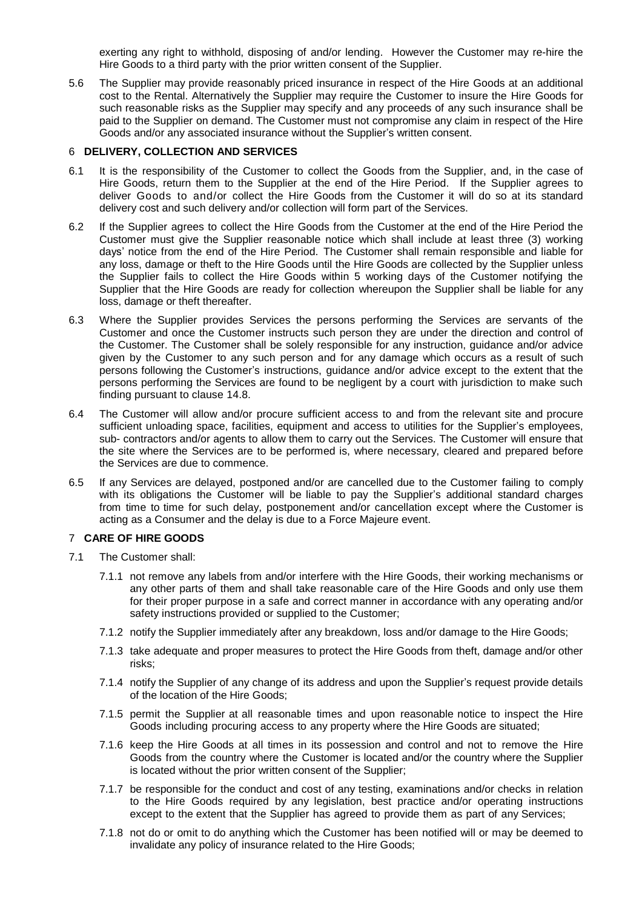exerting any right to withhold, disposing of and/or lending. However the Customer may re-hire the Hire Goods to a third party with the prior written consent of the Supplier.

5.6 The Supplier may provide reasonably priced insurance in respect of the Hire Goods at an additional cost to the Rental. Alternatively the Supplier may require the Customer to insure the Hire Goods for such reasonable risks as the Supplier may specify and any proceeds of any such insurance shall be paid to the Supplier on demand. The Customer must not compromise any claim in respect of the Hire Goods and/or any associated insurance without the Supplier's written consent.

## 6 **DELIVERY, COLLECTION AND SERVICES**

- 6.1 It is the responsibility of the Customer to collect the Goods from the Supplier, and, in the case of Hire Goods, return them to the Supplier at the end of the Hire Period. If the Supplier agrees to deliver Goods to and/or collect the Hire Goods from the Customer it will do so at its standard delivery cost and such delivery and/or collection will form part of the Services.
- 6.2 If the Supplier agrees to collect the Hire Goods from the Customer at the end of the Hire Period the Customer must give the Supplier reasonable notice which shall include at least three (3) working days' notice from the end of the Hire Period. The Customer shall remain responsible and liable for any loss, damage or theft to the Hire Goods until the Hire Goods are collected by the Supplier unless the Supplier fails to collect the Hire Goods within 5 working days of the Customer notifying the Supplier that the Hire Goods are ready for collection whereupon the Supplier shall be liable for any loss, damage or theft thereafter.
- 6.3 Where the Supplier provides Services the persons performing the Services are servants of the Customer and once the Customer instructs such person they are under the direction and control of the Customer. The Customer shall be solely responsible for any instruction, guidance and/or advice given by the Customer to any such person and for any damage which occurs as a result of such persons following the Customer's instructions, guidance and/or advice except to the extent that the persons performing the Services are found to be negligent by a court with jurisdiction to make such finding pursuant to clause [14.8.](#page-6-0)
- 6.4 The Customer will allow and/or procure sufficient access to and from the relevant site and procure sufficient unloading space, facilities, equipment and access to utilities for the Supplier's employees, sub- contractors and/or agents to allow them to carry out the Services. The Customer will ensure that the site where the Services are to be performed is, where necessary, cleared and prepared before the Services are due to commence.
- 6.5 If any Services are delayed, postponed and/or are cancelled due to the Customer failing to comply with its obligations the Customer will be liable to pay the Supplier's additional standard charges from time to time for such delay, postponement and/or cancellation except where the Customer is acting as a Consumer and the delay is due to a Force Majeure event.

#### <span id="page-2-0"></span>7 **CARE OF HIRE GOODS**

- 7.1 The Customer shall:
	- 7.1.1 not remove any labels from and/or interfere with the Hire Goods, their working mechanisms or any other parts of them and shall take reasonable care of the Hire Goods and only use them for their proper purpose in a safe and correct manner in accordance with any operating and/or safety instructions provided or supplied to the Customer;
	- 7.1.2 notify the Supplier immediately after any breakdown, loss and/or damage to the Hire Goods;
	- 7.1.3 take adequate and proper measures to protect the Hire Goods from theft, damage and/or other risks;
	- 7.1.4 notify the Supplier of any change of its address and upon the Supplier's request provide details of the location of the Hire Goods;
	- 7.1.5 permit the Supplier at all reasonable times and upon reasonable notice to inspect the Hire Goods including procuring access to any property where the Hire Goods are situated;
	- 7.1.6 keep the Hire Goods at all times in its possession and control and not to remove the Hire Goods from the country where the Customer is located and/or the country where the Supplier is located without the prior written consent of the Supplier;
	- 7.1.7 be responsible for the conduct and cost of any testing, examinations and/or checks in relation to the Hire Goods required by any legislation, best practice and/or operating instructions except to the extent that the Supplier has agreed to provide them as part of any Services;
	- 7.1.8 not do or omit to do anything which the Customer has been notified will or may be deemed to invalidate any policy of insurance related to the Hire Goods;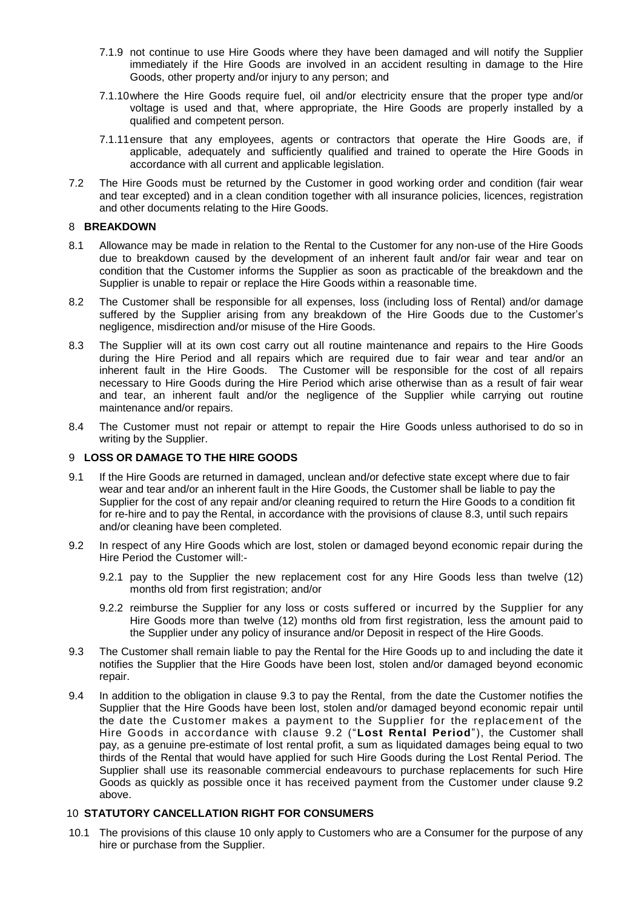- 7.1.9 not continue to use Hire Goods where they have been damaged and will notify the Supplier immediately if the Hire Goods are involved in an accident resulting in damage to the Hire Goods, other property and/or injury to any person; and
- 7.1.10where the Hire Goods require fuel, oil and/or electricity ensure that the proper type and/or voltage is used and that, where appropriate, the Hire Goods are properly installed by a qualified and competent person.
- 7.1.11ensure that any employees, agents or contractors that operate the Hire Goods are, if applicable, adequately and sufficiently qualified and trained to operate the Hire Goods in accordance with all current and applicable legislation.
- 7.2 The Hire Goods must be returned by the Customer in good working order and condition (fair wear and tear excepted) and in a clean condition together with all insurance policies, licences, registration and other documents relating to the Hire Goods.

## <span id="page-3-4"></span>8 **BREAKDOWN**

- 8.1 Allowance may be made in relation to the Rental to the Customer for any non-use of the Hire Goods due to breakdown caused by the development of an inherent fault and/or fair wear and tear on condition that the Customer informs the Supplier as soon as practicable of the breakdown and the Supplier is unable to repair or replace the Hire Goods within a reasonable time.
- 8.2 The Customer shall be responsible for all expenses, loss (including loss of Rental) and/or damage suffered by the Supplier arising from any breakdown of the Hire Goods due to the Customer's negligence, misdirection and/or misuse of the Hire Goods.
- 8.3 The Supplier will at its own cost carry out all routine maintenance and repairs to the Hire Goods during the Hire Period and all repairs which are required due to fair wear and tear and/or an inherent fault in the Hire Goods. The Customer will be responsible for the cost of all repairs necessary to Hire Goods during the Hire Period which arise otherwise than as a result of fair wear and tear, an inherent fault and/or the negligence of the Supplier while carrying out routine maintenance and/or repairs.
- 8.4 The Customer must not repair or attempt to repair the Hire Goods unless authorised to do so in writing by the Supplier.

## 9 **LOSS OR DAMAGE TO THE HIRE GOODS**

- <span id="page-3-5"></span>9.1 If the Hire Goods are returned in damaged, unclean and/or defective state except where due to fair wear and tear and/or an inherent fault in the Hire Goods, the Customer shall be liable to pay the Supplier for the cost of any repair and/or cleaning required to return the Hire Goods to a condition fit for re-hire and to pay the Rental, in accordance with the provisions of clause 8.3, until such repairs and/or cleaning have been completed.
- <span id="page-3-1"></span>9.2 In respect of any Hire Goods which are lost, stolen or damaged beyond economic repair during the Hire Period the Customer will:-
	- 9.2.1 pay to the Supplier the new replacement cost for any Hire Goods less than twelve (12) months old from first registration; and/or
	- 9.2.2 reimburse the Supplier for any loss or costs suffered or incurred by the Supplier for any Hire Goods more than twelve (12) months old from first registration, less the amount paid to the Supplier under any policy of insurance and/or Deposit in respect of the Hire Goods.
- <span id="page-3-0"></span>9.3 The Customer shall remain liable to pay the Rental for the Hire Goods up to and including the date it notifies the Supplier that the Hire Goods have been lost, stolen and/or damaged beyond economic repair.
- 9.4 In addition to the obligation in clause [9.3](#page-3-0) to pay the Rental, from the date the Customer notifies the Supplier that the Hire Goods have been lost, stolen and/or damaged beyond economic repair until the date the Customer makes a payment to the Supplier for the replacement of the Hire Goods in accordance with clause [9.2](#page-3-1) ("**Lost Rental Period**"), the Customer shall pay, as a genuine pre-estimate of lost rental profit, a sum as liquidated damages being equal to two thirds of the Rental that would have applied for such Hire Goods during the Lost Rental Period. The Supplier shall use its reasonable commercial endeavours to purchase replacements for such Hire Goods as quickly as possible once it has received payment from the Customer under clause [9.2](#page-3-1) above.

## <span id="page-3-2"></span>10 **STATUTORY CANCELLATION RIGHT FOR CONSUMERS**

<span id="page-3-3"></span>10.1 The provisions of this clause [10](#page-3-2) only apply to Customers who are a Consumer for the purpose of any hire or purchase from the Supplier.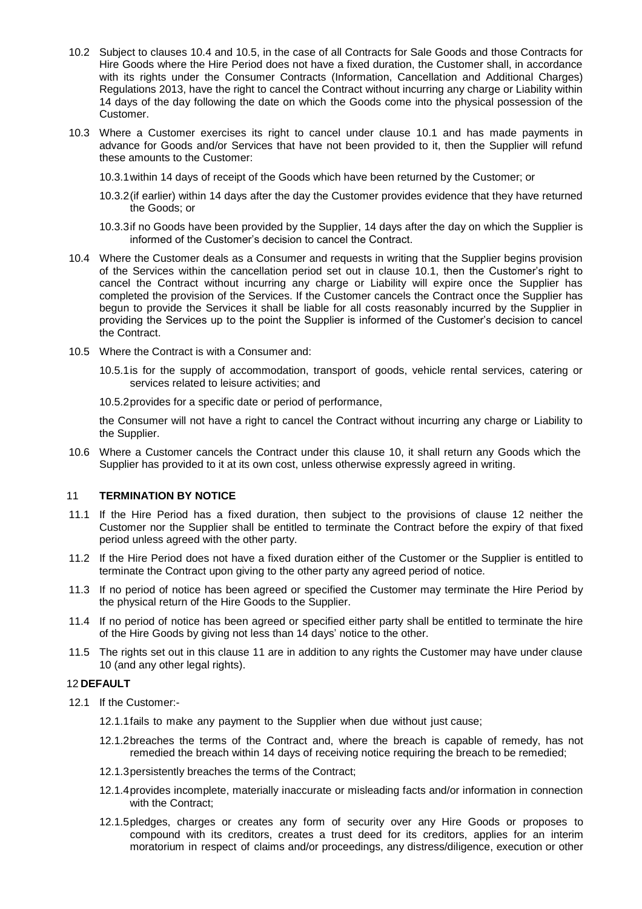- 10.2 Subject to clauses [10.4](#page-4-0) and 10.5, in the case of all Contracts for Sale Goods and those Contracts for Hire Goods where the Hire Period does not have a fixed duration, the Customer shall, in accordance with its rights under the Consumer Contracts (Information, Cancellation and Additional Charges) Regulations 2013, have the right to cancel the Contract without incurring any charge or Liability within 14 days of the day following the date on which the Goods come into the physical possession of the Customer.
- 10.3 Where a Customer exercises its right to cancel under clause [10.1](#page-3-3) and has made payments in advance for Goods and/or Services that have not been provided to it, then the Supplier will refund these amounts to the Customer:
	- 10.3.1within 14 days of receipt of the Goods which have been returned by the Customer; or
	- 10.3.2(if earlier) within 14 days after the day the Customer provides evidence that they have returned the Goods; or
	- 10.3.3if no Goods have been provided by the Supplier, 14 days after the day on which the Supplier is informed of the Customer's decision to cancel the Contract.
- <span id="page-4-0"></span>10.4 Where the Customer deals as a Consumer and requests in writing that the Supplier begins provision of the Services within the cancellation period set out in clause [10.1,](#page-3-3) then the Customer's right to cancel the Contract without incurring any charge or Liability will expire once the Supplier has completed the provision of the Services. If the Customer cancels the Contract once the Supplier has begun to provide the Services it shall be liable for all costs reasonably incurred by the Supplier in providing the Services up to the point the Supplier is informed of the Customer's decision to cancel the Contract.
- 10.5 Where the Contract is with a Consumer and:
	- 10.5.1is for the supply of accommodation, transport of goods, vehicle rental services, catering or services related to leisure activities; and
	- 10.5.2provides for a specific date or period of performance,

the Consumer will not have a right to cancel the Contract without incurring any charge or Liability to the Supplier.

10.6 Where a Customer cancels the Contract under this clause 10, it shall return any Goods which the Supplier has provided to it at its own cost, unless otherwise expressly agreed in writing.

## <span id="page-4-2"></span>11 **TERMINATION BY NOTICE**

- 11.1 If the Hire Period has a fixed duration, then subject to the provisions of clause [12](#page-4-1) neither the Customer nor the Supplier shall be entitled to terminate the Contract before the expiry of that fixed period unless agreed with the other party.
- 11.2 If the Hire Period does not have a fixed duration either of the Customer or the Supplier is entitled to terminate the Contract upon giving to the other party any agreed period of notice.
- 11.3 If no period of notice has been agreed or specified the Customer may terminate the Hire Period by the physical return of the Hire Goods to the Supplier.
- 11.4 If no period of notice has been agreed or specified either party shall be entitled to terminate the hire of the Hire Goods by giving not less than 14 days' notice to the other.
- 11.5 The rights set out in this clause [11](#page-4-2) are in addition to any rights the Customer may have under clause [10](#page-3-2) (and any other legal rights).

# <span id="page-4-1"></span>12 **DEFAULT**

- <span id="page-4-3"></span>12.1 If the Customer:-
	- 12.1.1fails to make any payment to the Supplier when due without just cause;
	- 12.1.2breaches the terms of the Contract and, where the breach is capable of remedy, has not remedied the breach within 14 days of receiving notice requiring the breach to be remedied;
	- 12.1.3persistently breaches the terms of the Contract;
	- 12.1.4provides incomplete, materially inaccurate or misleading facts and/or information in connection with the Contract;
	- 12.1.5pledges, charges or creates any form of security over any Hire Goods or proposes to compound with its creditors, creates a trust deed for its creditors, applies for an interim moratorium in respect of claims and/or proceedings, any distress/diligence, execution or other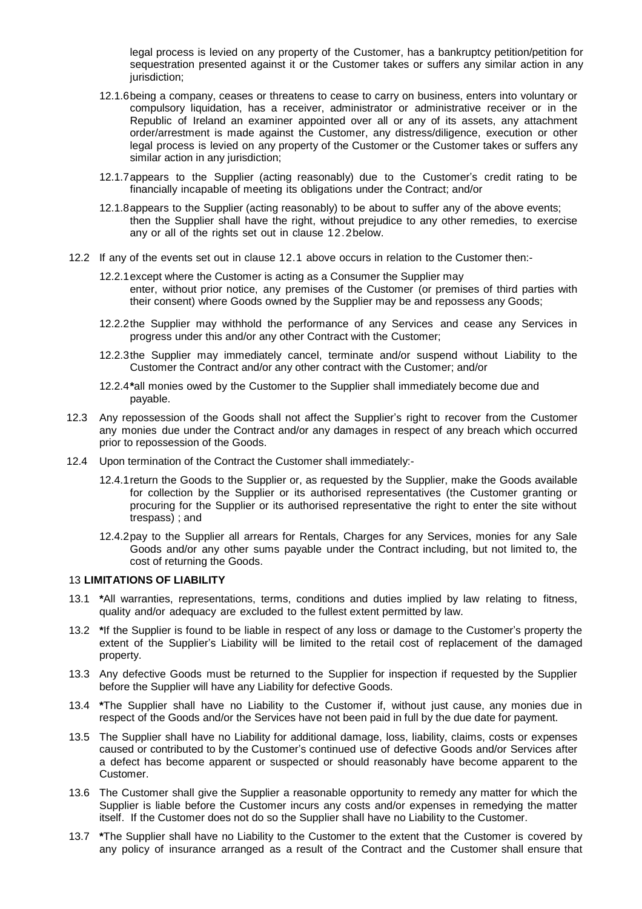legal process is levied on any property of the Customer, has a bankruptcy petition/petition for sequestration presented against it or the Customer takes or suffers any similar action in any jurisdiction;

- 12.1.6being a company, ceases or threatens to cease to carry on business, enters into voluntary or compulsory liquidation, has a receiver, administrator or administrative receiver or in the Republic of Ireland an examiner appointed over all or any of its assets, any attachment order/arrestment is made against the Customer, any distress/diligence, execution or other legal process is levied on any property of the Customer or the Customer takes or suffers any similar action in any jurisdiction;
- 12.1.7appears to the Supplier (acting reasonably) due to the Customer's credit rating to be financially incapable of meeting its obligations under the Contract; and/or
- 12.1.8appears to the Supplier (acting reasonably) to be about to suffer any of the above events; then the Supplier shall have the right, without prejudice to any other remedies, to exercise any or all of the rights set out in clause [12.2b](#page-5-0)elow.
- <span id="page-5-0"></span>12.2 If any of the events set out in clause [12.1](#page-4-3) above occurs in relation to the Customer then:-
	- 12.2.1except where the Customer is acting as a Consumer the Supplier may enter, without prior notice, any premises of the Customer (or premises of third parties with their consent) where Goods owned by the Supplier may be and repossess any Goods;
	- 12.2.2the Supplier may withhold the performance of any Services and cease any Services in progress under this and/or any other Contract with the Customer;
	- 12.2.3the Supplier may immediately cancel, terminate and/or suspend without Liability to the Customer the Contract and/or any other contract with the Customer; and/or
	- 12.2.4**\***all monies owed by the Customer to the Supplier shall immediately become due and payable.
- 12.3 Any repossession of the Goods shall not affect the Supplier's right to recover from the Customer any monies due under the Contract and/or any damages in respect of any breach which occurred prior to repossession of the Goods.
- 12.4 Upon termination of the Contract the Customer shall immediately:-
	- 12.4.1return the Goods to the Supplier or, as requested by the Supplier, make the Goods available for collection by the Supplier or its authorised representatives (the Customer granting or procuring for the Supplier or its authorised representative the right to enter the site without trespass) ; and
	- 12.4.2pay to the Supplier all arrears for Rentals, Charges for any Services, monies for any Sale Goods and/or any other sums payable under the Contract including, but not limited to, the cost of returning the Goods.

#### 13 **LIMITATIONS OF LIABILITY**

- 13.1 **\***All warranties, representations, terms, conditions and duties implied by law relating to fitness, quality and/or adequacy are excluded to the fullest extent permitted by law.
- 13.2 **\***If the Supplier is found to be liable in respect of any loss or damage to the Customer's property the extent of the Supplier's Liability will be limited to the retail cost of replacement of the damaged property.
- 13.3 Any defective Goods must be returned to the Supplier for inspection if requested by the Supplier before the Supplier will have any Liability for defective Goods.
- 13.4 **\***The Supplier shall have no Liability to the Customer if, without just cause, any monies due in respect of the Goods and/or the Services have not been paid in full by the due date for payment.
- 13.5 The Supplier shall have no Liability for additional damage, loss, liability, claims, costs or expenses caused or contributed to by the Customer's continued use of defective Goods and/or Services after a defect has become apparent or suspected or should reasonably have become apparent to the Customer.
- 13.6 The Customer shall give the Supplier a reasonable opportunity to remedy any matter for which the Supplier is liable before the Customer incurs any costs and/or expenses in remedying the matter itself. If the Customer does not do so the Supplier shall have no Liability to the Customer.
- 13.7 **\***The Supplier shall have no Liability to the Customer to the extent that the Customer is covered by any policy of insurance arranged as a result of the Contract and the Customer shall ensure that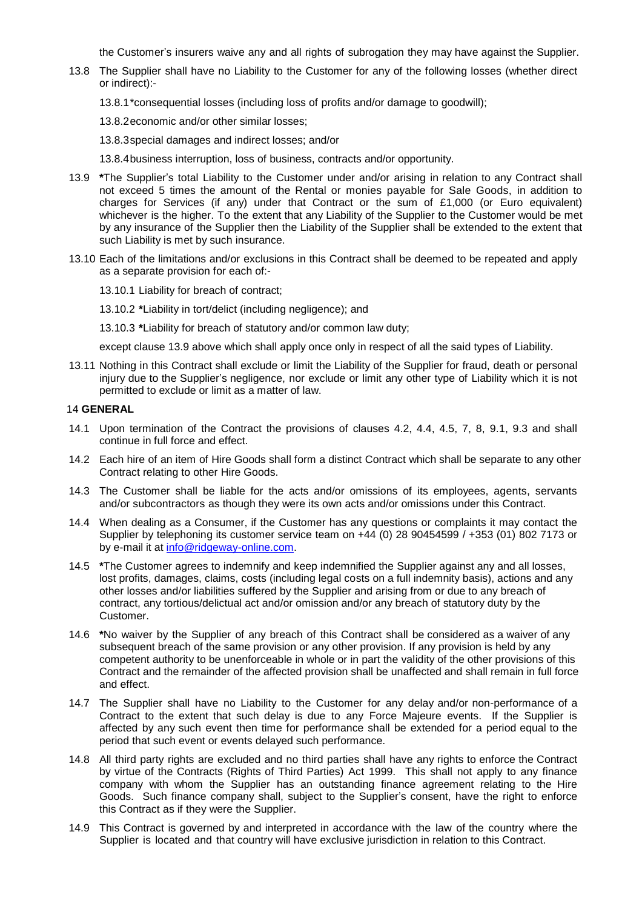the Customer's insurers waive any and all rights of subrogation they may have against the Supplier.

- 13.8 The Supplier shall have no Liability to the Customer for any of the following losses (whether direct or indirect):-
	- 13.8.1\*consequential losses (including loss of profits and/or damage to goodwill);

13.8.2economic and/or other similar losses;

13.8.3special damages and indirect losses; and/or

13.8.4business interruption, loss of business, contracts and/or opportunity.

- <span id="page-6-1"></span>13.9 **\***The Supplier's total Liability to the Customer under and/or arising in relation to any Contract shall not exceed 5 times the amount of the Rental or monies payable for Sale Goods, in addition to charges for Services (if any) under that Contract or the sum of £1,000 (or Euro equivalent) whichever is the higher. To the extent that any Liability of the Supplier to the Customer would be met by any insurance of the Supplier then the Liability of the Supplier shall be extended to the extent that such Liability is met by such insurance.
- 13.10 Each of the limitations and/or exclusions in this Contract shall be deemed to be repeated and apply as a separate provision for each of:-
	- 13.10.1 Liability for breach of contract;
	- 13.10.2 **\***Liability in tort/delict (including negligence); and

13.10.3 **\***Liability for breach of statutory and/or common law duty;

except clause [13.9](#page-6-1) above which shall apply once only in respect of all the said types of Liability.

13.11 Nothing in this Contract shall exclude or limit the Liability of the Supplier for fraud, death or personal injury due to the Supplier's negligence, nor exclude or limit any other type of Liability which it is not permitted to exclude or limit as a matter of law.

## 14 **GENERAL**

- 14.1 Upon termination of the Contract the provisions of clauses [4.2,](#page-1-0) [4.4,](#page-1-1) [4.5,](#page-1-2) [7,](#page-2-0) [8,](#page-3-4) [9.1,](#page-3-5) [9.3](#page-3-0) and shall continue in full force and effect.
- 14.2 Each hire of an item of Hire Goods shall form a distinct Contract which shall be separate to any other Contract relating to other Hire Goods.
- 14.3 The Customer shall be liable for the acts and/or omissions of its employees, agents, servants and/or subcontractors as though they were its own acts and/or omissions under this Contract.
- 14.4 When dealing as a Consumer, if the Customer has any questions or complaints it may contact the Supplier by telephoning its customer service team on +44 (0) 28 90454599 / +353 (01) 802 7173 or by e-mail it at [info@ridgeway-online.com.](mailto:info@ridgeway-online.com)
- 14.5 **\***The Customer agrees to indemnify and keep indemnified the Supplier against any and all losses, lost profits, damages, claims, costs (including legal costs on a full indemnity basis), actions and any other losses and/or liabilities suffered by the Supplier and arising from or due to any breach of contract, any tortious/delictual act and/or omission and/or any breach of statutory duty by the Customer.
- 14.6 **\***No waiver by the Supplier of any breach of this Contract shall be considered as a waiver of any subsequent breach of the same provision or any other provision. If any provision is held by any competent authority to be unenforceable in whole or in part the validity of the other provisions of this Contract and the remainder of the affected provision shall be unaffected and shall remain in full force and effect.
- 14.7 The Supplier shall have no Liability to the Customer for any delay and/or non-performance of a Contract to the extent that such delay is due to any Force Majeure events. If the Supplier is affected by any such event then time for performance shall be extended for a period equal to the period that such event or events delayed such performance.
- <span id="page-6-0"></span>14.8 All third party rights are excluded and no third parties shall have any rights to enforce the Contract by virtue of the Contracts (Rights of Third Parties) Act 1999. This shall not apply to any finance company with whom the Supplier has an outstanding finance agreement relating to the Hire Goods. Such finance company shall, subject to the Supplier's consent, have the right to enforce this Contract as if they were the Supplier.
- 14.9 This Contract is governed by and interpreted in accordance with the law of the country where the Supplier is located and that country will have exclusive jurisdiction in relation to this Contract.